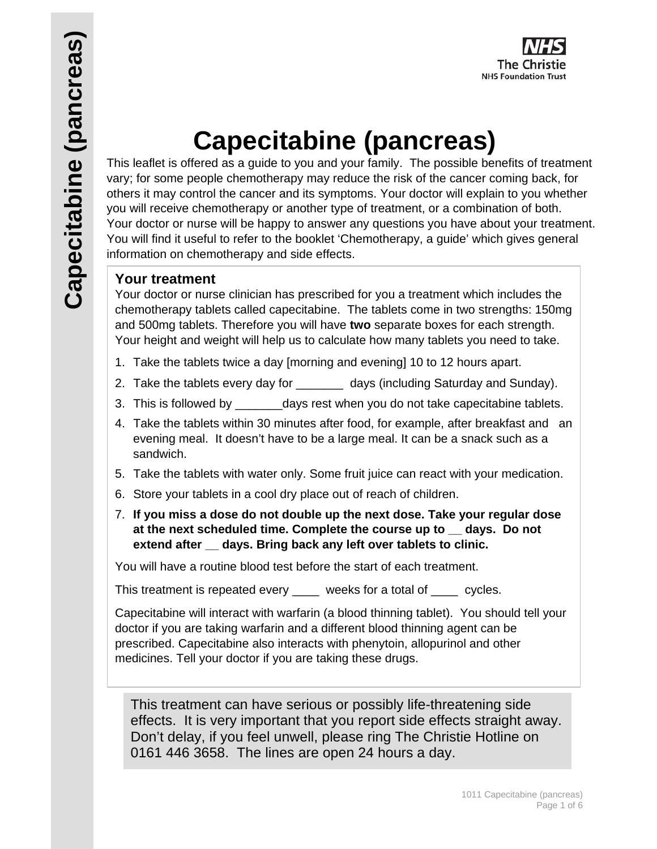

# **Capecitabine (pancreas)**

This leaflet is offered as a guide to you and your family. The possible benefits of treatment vary; for some people chemotherapy may reduce the risk of the cancer coming back, for others it may control the cancer and its symptoms. Your doctor will explain to you whether you will receive chemotherapy or another type of treatment, or a combination of both. Your doctor or nurse will be happy to answer any questions you have about your treatment. You will find it useful to refer to the booklet 'Chemotherapy, a guide' which gives general information on chemotherapy and side effects.

# **Your treatment**

Your doctor or nurse clinician has prescribed for you a treatment which includes the chemotherapy tablets called capecitabine. The tablets come in two strengths: 150mg and 500mg tablets. Therefore you will have **two** separate boxes for each strength. Your height and weight will help us to calculate how many tablets you need to take.

- 1. Take the tablets twice a day [morning and evening] 10 to 12 hours apart.
- 2. Take the tablets every day for \_\_\_\_\_\_\_ days (including Saturday and Sunday).
- 3. This is followed by days rest when you do not take capecitabine tablets.
- 4. Take the tablets within 30 minutes after food, for example, after breakfast and an evening meal. It doesn't have to be a large meal. It can be a snack such as a sandwich.
- 5. Take the tablets with water only. Some fruit juice can react with your medication.
- 6. Store your tablets in a cool dry place out of reach of children.
- 7. **If you miss a dose do not double up the next dose. Take your regular dose at the next scheduled time. Complete the course up to \_\_ days. Do not extend after \_\_ days. Bring back any left over tablets to clinic.**

You will have a routine blood test before the start of each treatment.

This treatment is repeated every weeks for a total of cycles.

Capecitabine will interact with warfarin (a blood thinning tablet). You should tell your doctor if you are taking warfarin and a different blood thinning agent can be prescribed. Capecitabine also interacts with phenytoin, allopurinol and other medicines. Tell your doctor if you are taking these drugs.

This treatment can have serious or possibly life-threatening side effects. It is very important that you report side effects straight away. Don't delay, if you feel unwell, please ring The Christie Hotline on 0161 446 3658. The lines are open 24 hours a day.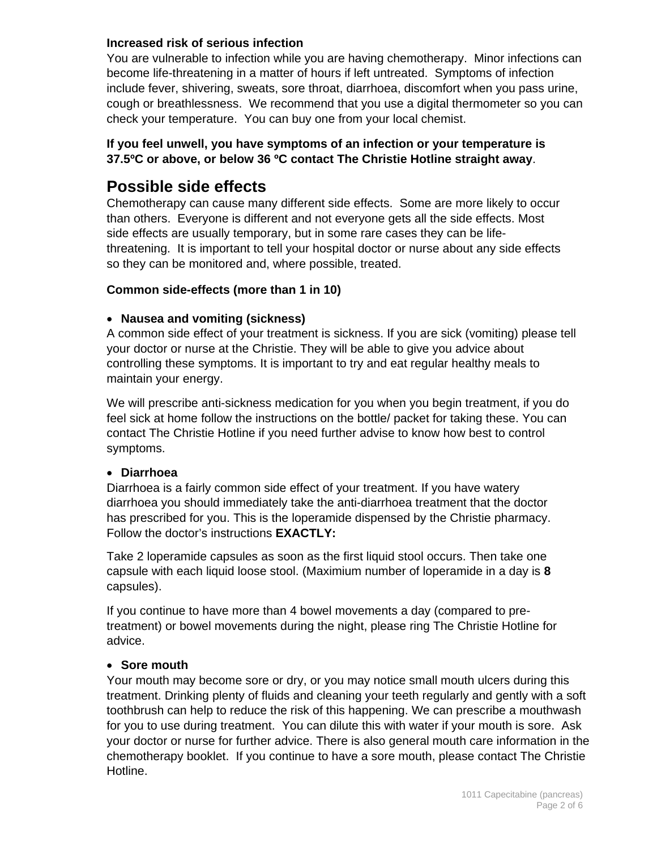## **Increased risk of serious infection**

You are vulnerable to infection while you are having chemotherapy. Minor infections can become life-threatening in a matter of hours if left untreated. Symptoms of infection include fever, shivering, sweats, sore throat, diarrhoea, discomfort when you pass urine, cough or breathlessness. We recommend that you use a digital thermometer so you can check your temperature. You can buy one from your local chemist.

# **If you feel unwell, you have symptoms of an infection or your temperature is 37.5ºC or above, or below 36 ºC contact The Christie Hotline straight away**.

# **Possible side effects**

Chemotherapy can cause many different side effects. Some are more likely to occur than others. Everyone is different and not everyone gets all the side effects. Most side effects are usually temporary, but in some rare cases they can be lifethreatening. It is important to tell your hospital doctor or nurse about any side effects so they can be monitored and, where possible, treated.

# **Common side-effects (more than 1 in 10)**

# **Nausea and vomiting (sickness)**

A common side effect of your treatment is sickness. If you are sick (vomiting) please tell your doctor or nurse at the Christie. They will be able to give you advice about controlling these symptoms. It is important to try and eat regular healthy meals to maintain your energy.

We will prescribe anti-sickness medication for you when you begin treatment, if you do feel sick at home follow the instructions on the bottle/ packet for taking these. You can contact The Christie Hotline if you need further advise to know how best to control symptoms.

# **Diarrhoea**

Diarrhoea is a fairly common side effect of your treatment. If you have watery diarrhoea you should immediately take the anti-diarrhoea treatment that the doctor has prescribed for you. This is the loperamide dispensed by the Christie pharmacy. Follow the doctor's instructions **EXACTLY:** 

Take 2 loperamide capsules as soon as the first liquid stool occurs. Then take one capsule with each liquid loose stool. (Maximium number of loperamide in a day is **8** capsules).

If you continue to have more than 4 bowel movements a day (compared to pretreatment) or bowel movements during the night, please ring The Christie Hotline for advice.

# **Sore mouth**

Your mouth may become sore or dry, or you may notice small mouth ulcers during this treatment. Drinking plenty of fluids and cleaning your teeth regularly and gently with a soft toothbrush can help to reduce the risk of this happening. We can prescribe a mouthwash for you to use during treatment. You can dilute this with water if your mouth is sore. Ask your doctor or nurse for further advice. There is also general mouth care information in the chemotherapy booklet. If you continue to have a sore mouth, please contact The Christie Hotline.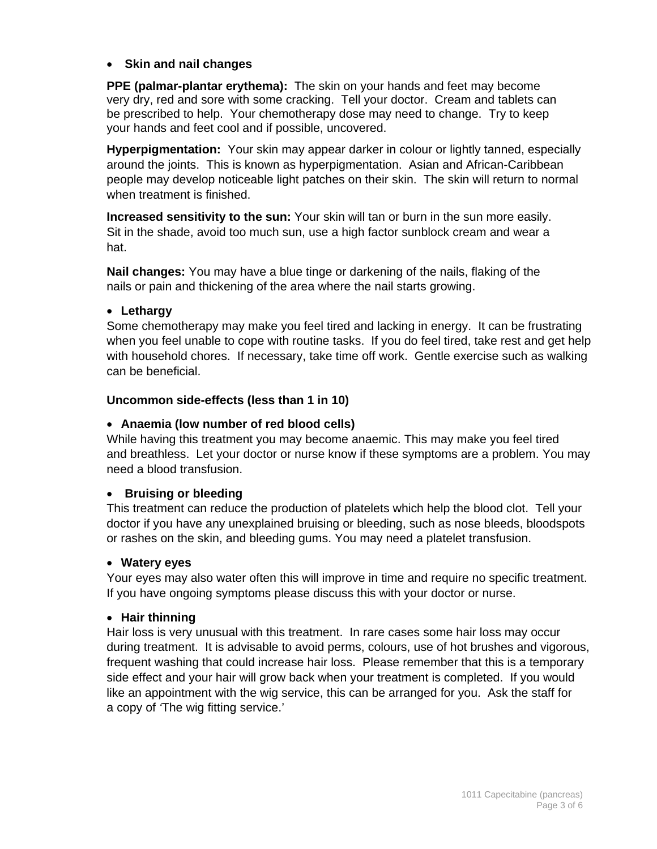# **Skin and nail changes**

**PPE (palmar-plantar erythema):** The skin on your hands and feet may become very dry, red and sore with some cracking. Tell your doctor. Cream and tablets can be prescribed to help. Your chemotherapy dose may need to change. Try to keep your hands and feet cool and if possible, uncovered.

**Hyperpigmentation:** Your skin may appear darker in colour or lightly tanned, especially around the joints. This is known as hyperpigmentation. Asian and African-Caribbean people may develop noticeable light patches on their skin. The skin will return to normal when treatment is finished.

**Increased sensitivity to the sun:** Your skin will tan or burn in the sun more easily. Sit in the shade, avoid too much sun, use a high factor sunblock cream and wear a hat.

**Nail changes:** You may have a blue tinge or darkening of the nails, flaking of the nails or pain and thickening of the area where the nail starts growing.

#### **Lethargy**

Some chemotherapy may make you feel tired and lacking in energy. It can be frustrating when you feel unable to cope with routine tasks. If you do feel tired, take rest and get help with household chores. If necessary, take time off work. Gentle exercise such as walking can be beneficial.

#### **Uncommon side-effects (less than 1 in 10)**

#### **Anaemia (low number of red blood cells)**

While having this treatment you may become anaemic. This may make you feel tired and breathless. Let your doctor or nurse know if these symptoms are a problem. You may need a blood transfusion.

#### **Bruising or bleeding**

This treatment can reduce the production of platelets which help the blood clot. Tell your doctor if you have any unexplained bruising or bleeding, such as nose bleeds, bloodspots or rashes on the skin, and bleeding gums. You may need a platelet transfusion.

#### **Watery eyes**

Your eyes may also water often this will improve in time and require no specific treatment. If you have ongoing symptoms please discuss this with your doctor or nurse.

#### **Hair thinning**

Hair loss is very unusual with this treatment. In rare cases some hair loss may occur during treatment. It is advisable to avoid perms, colours, use of hot brushes and vigorous, frequent washing that could increase hair loss. Please remember that this is a temporary side effect and your hair will grow back when your treatment is completed. If you would like an appointment with the wig service, this can be arranged for you. Ask the staff for a copy of *'*The wig fitting service.'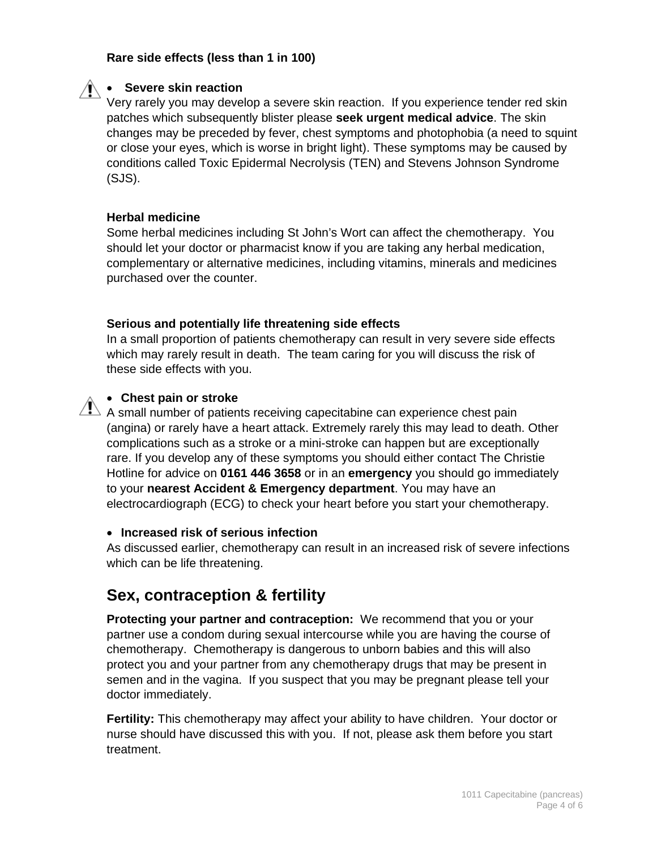### **Rare side effects (less than 1 in 100)**



### **Severe skin reaction**

Very rarely you may develop a severe skin reaction. If you experience tender red skin patches which subsequently blister please **seek urgent medical advice**. The skin changes may be preceded by fever, chest symptoms and photophobia (a need to squint or close your eyes, which is worse in bright light). These symptoms may be caused by conditions called Toxic Epidermal Necrolysis (TEN) and Stevens Johnson Syndrome (SJS).

#### **Herbal medicine**

Some herbal medicines including St John's Wort can affect the chemotherapy. You should let your doctor or pharmacist know if you are taking any herbal medication, complementary or alternative medicines, including vitamins, minerals and medicines purchased over the counter.

#### **Serious and potentially life threatening side effects**

In a small proportion of patients chemotherapy can result in very severe side effects which may rarely result in death. The team caring for you will discuss the risk of these side effects with you.

#### **Chest pain or stroke**

 $\overline{\mathbf{A}}$  A small number of patients receiving capecitabine can experience chest pain (angina) or rarely have a heart attack. Extremely rarely this may lead to death. Other complications such as a stroke or a mini-stroke can happen but are exceptionally rare. If you develop any of these symptoms you should either contact The Christie Hotline for advice on **0161 446 3658** or in an **emergency** you should go immediately to your **nearest Accident & Emergency department**. You may have an electrocardiograph (ECG) to check your heart before you start your chemotherapy.

#### **Increased risk of serious infection**

As discussed earlier, chemotherapy can result in an increased risk of severe infections which can be life threatening.

# **Sex, contraception & fertility**

**Protecting your partner and contraception:** We recommend that you or your partner use a condom during sexual intercourse while you are having the course of chemotherapy. Chemotherapy is dangerous to unborn babies and this will also protect you and your partner from any chemotherapy drugs that may be present in semen and in the vagina. If you suspect that you may be pregnant please tell your doctor immediately.

**Fertility:** This chemotherapy may affect your ability to have children. Your doctor or nurse should have discussed this with you. If not, please ask them before you start treatment.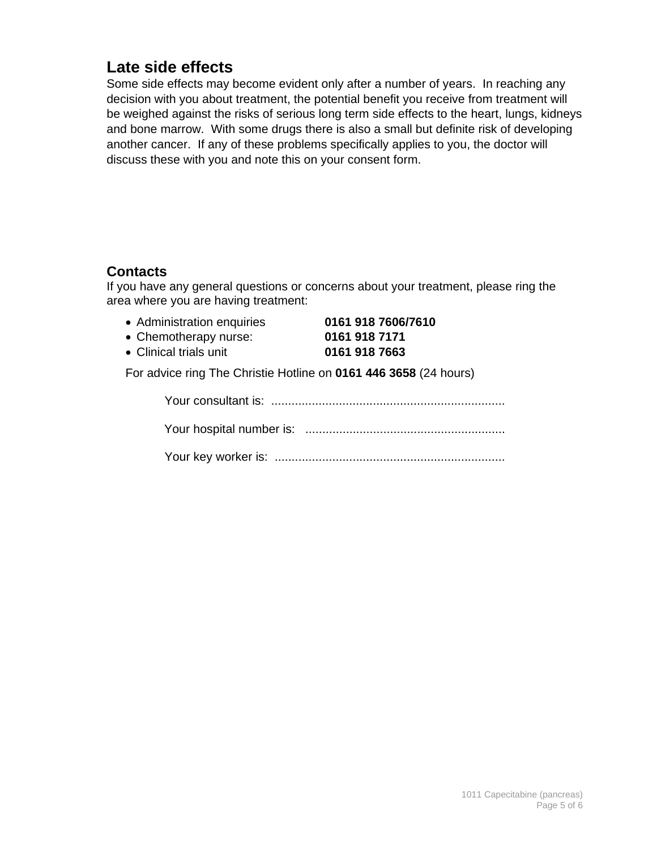# **Late side effects**

Some side effects may become evident only after a number of years. In reaching any decision with you about treatment, the potential benefit you receive from treatment will be weighed against the risks of serious long term side effects to the heart, lungs, kidneys and bone marrow. With some drugs there is also a small but definite risk of developing another cancer. If any of these problems specifically applies to you, the doctor will discuss these with you and note this on your consent form.

# **Contacts**

If you have any general questions or concerns about your treatment, please ring the area where you are having treatment:

- Administration enquiries **0161 918 7606/7610**
- Chemotherapy nurse: **0161 918 7171** Clinical trials unit **0161 918 7663**

For advice ring The Christie Hotline on **0161 446 3658** (24 hours)